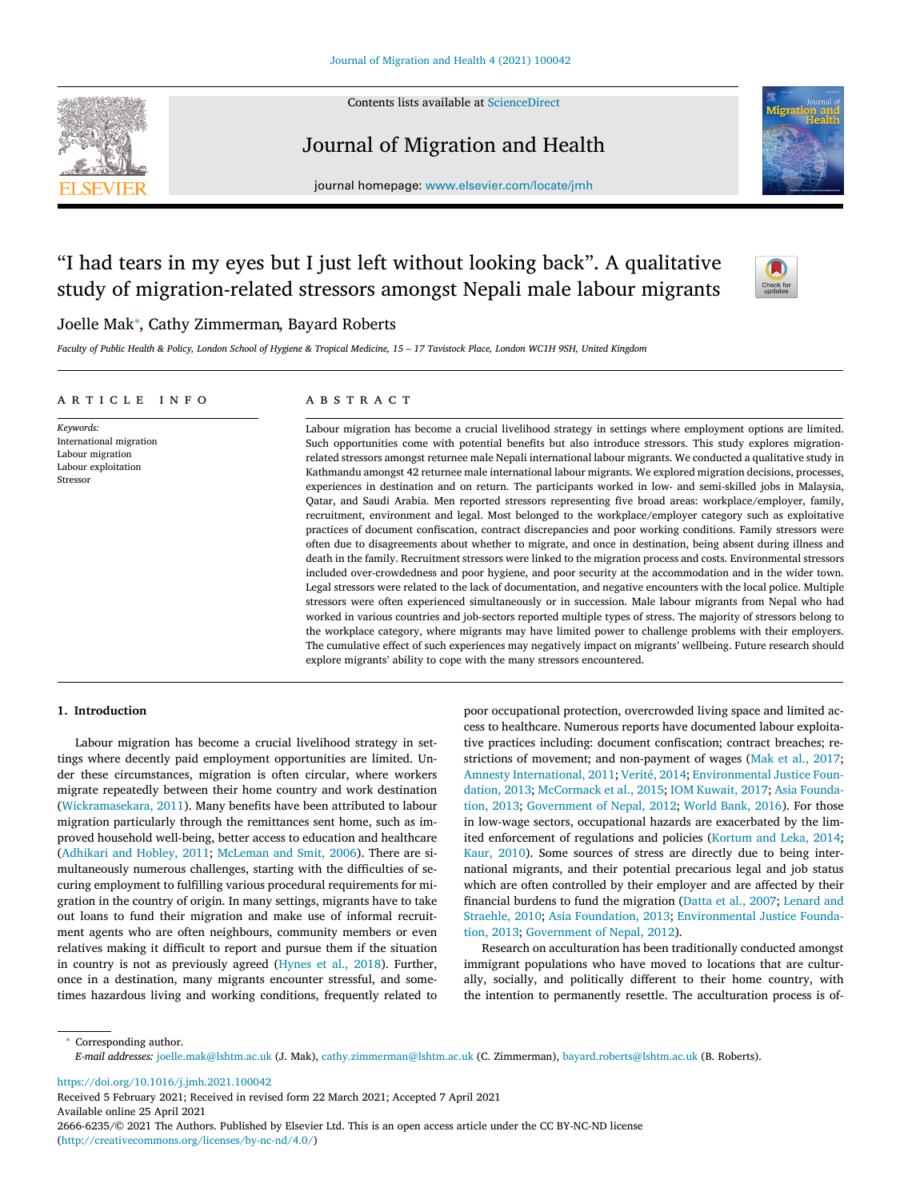Contents lists available at [ScienceDirect](http://www.ScienceDirect.com)

# Journal of Migration and Health



journal homepage: [www.elsevier.com/locate/jmh](http://www.elsevier.com/locate/jmh)

# "I had tears in my eyes but I just left without looking back". A qualitative study of migration-related stressors amongst Nepali male labour migrants



# Joelle Mak<sup>∗</sup> , Cathy Zimmerman, Bayard Roberts

Faculty of Public Health & Policy, London School of Hygiene & Tropical Medicine, 15 - 17 Tavistock Place, London WC1H 9SH, United Kingdom

#### a r t i c l e i n f o

*Keywords:* International migration Labour migration Labour exploitation Stressor

# A B S T R A C T

Labour migration has become a crucial livelihood strategy in settings where employment options are limited. Such opportunities come with potential benefits but also introduce stressors. This study explores migrationrelated stressors amongst returnee male Nepali international labour migrants. We conducted a qualitative study in Kathmandu amongst 42 returnee male international labour migrants. We explored migration decisions, processes, experiences in destination and on return. The participants worked in low- and semi-skilled jobs in Malaysia, Qatar, and Saudi Arabia. Men reported stressors representing five broad areas: workplace/employer, family, recruitment, environment and legal. Most belonged to the workplace/employer category such as exploitative practices of document confiscation, contract discrepancies and poor working conditions. Family stressors were often due to disagreements about whether to migrate, and once in destination, being absent during illness and death in the family. Recruitment stressors were linked to the migration process and costs. Environmental stressors included over-crowdedness and poor hygiene, and poor security at the accommodation and in the wider town. Legal stressors were related to the lack of documentation, and negative encounters with the local police. Multiple stressors were often experienced simultaneously or in succession. Male labour migrants from Nepal who had worked in various countries and job-sectors reported multiple types of stress. The majority of stressors belong to the workplace category, where migrants may have limited power to challenge problems with their employers. The cumulative effect of such experiences may negatively impact on migrants' wellbeing. Future research should explore migrants' ability to cope with the many stressors encountered.

# **1. Introduction**

Labour migration has become a crucial livelihood strategy in settings where decently paid employment opportunities are limited. Under these circumstances, migration is often circular, where workers migrate repeatedly between their home country and work destination [\(Wickramasekara,](#page-8-0) 2011). Many benefits have been attributed to labour migration particularly through the remittances sent home, such as improved household well-being, better access to education and healthcare [\(Adhikari](#page-7-0) and Hobley, 2011; [McLeman](#page-7-0) and Smit, 2006). There are simultaneously numerous challenges, starting with the difficulties of securing employment to fulfilling various procedural requirements for migration in the country of origin. In many settings, migrants have to take out loans to fund their migration and make use of informal recruitment agents who are often neighbours, community members or even relatives making it difficult to report and pursue them if the situation in country is not as previously agreed [\(Hynes](#page-7-0) et al., 2018). Further, once in a destination, many migrants encounter stressful, and sometimes hazardous living and working conditions, frequently related to

poor occupational protection, overcrowded living space and limited access to healthcare. Numerous reports have documented labour exploitative practices including: document confiscation; contract breaches; restrictions of movement; and non-payment of wages (Mak et al., [2017;](#page-7-0) Amnesty [International,](#page-7-0) 2011; [Verité,](#page-8-0) 2014; [Environmental](#page-7-0) Justice Foundation, 2013; [McCormack](#page-7-0) et al., 2015; IOM [Kuwait,](#page-7-0) 2017; Asia Foundation, 2013; [Government](#page-7-0) of Nepal, 2012; [World](#page-8-0) Bank, 2016). For those in low-wage sectors, occupational hazards are exacerbated by the limited enforcement of regulations and policies [\(Kortum](#page-7-0) and Leka, 2014; Kaur, [2010\)](#page-7-0). Some sources of stress are directly due to being international migrants, and their potential precarious legal and job status which are often controlled by their employer and are affected by their financial burdens to fund the migration [\(Datta](#page-7-0) et al., 2007; Lenard and Straehle, 2010; Asia [Foundation,](#page-7-0) 2013; [Environmental](#page-7-0) Justice Foundation, 2013; [Government](#page-7-0) of Nepal, 2012).

Research on acculturation has been traditionally conducted amongst immigrant populations who have moved to locations that are culturally, socially, and politically different to their home country, with the intention to permanently resettle. The acculturation process is of-

<sup>∗</sup> Corresponding author. *E-mail addresses:* [joelle.mak@lshtm.ac.uk](mailto:joelle.mak@lshtm.ac.uk) (J. Mak), [cathy.zimmerman@lshtm.ac.uk](mailto:cathy.zimmerman@lshtm.ac.uk) (C. Zimmerman), [bayard.roberts@lshtm.ac.uk](mailto:bayard.roberts@lshtm.ac.uk) (B. Roberts).

<https://doi.org/10.1016/j.jmh.2021.100042>

Received 5 February 2021; Received in revised form 22 March 2021; Accepted 7 April 2021 Available online 25 April 2021 2666-6235/© 2021 The Authors. Published by Elsevier Ltd. This is an open access article under the CC BY-NC-ND license [\(http://creativecommons.org/licenses/by-nc-nd/4.0/\)](http://creativecommons.org/licenses/by-nc-nd/4.0/)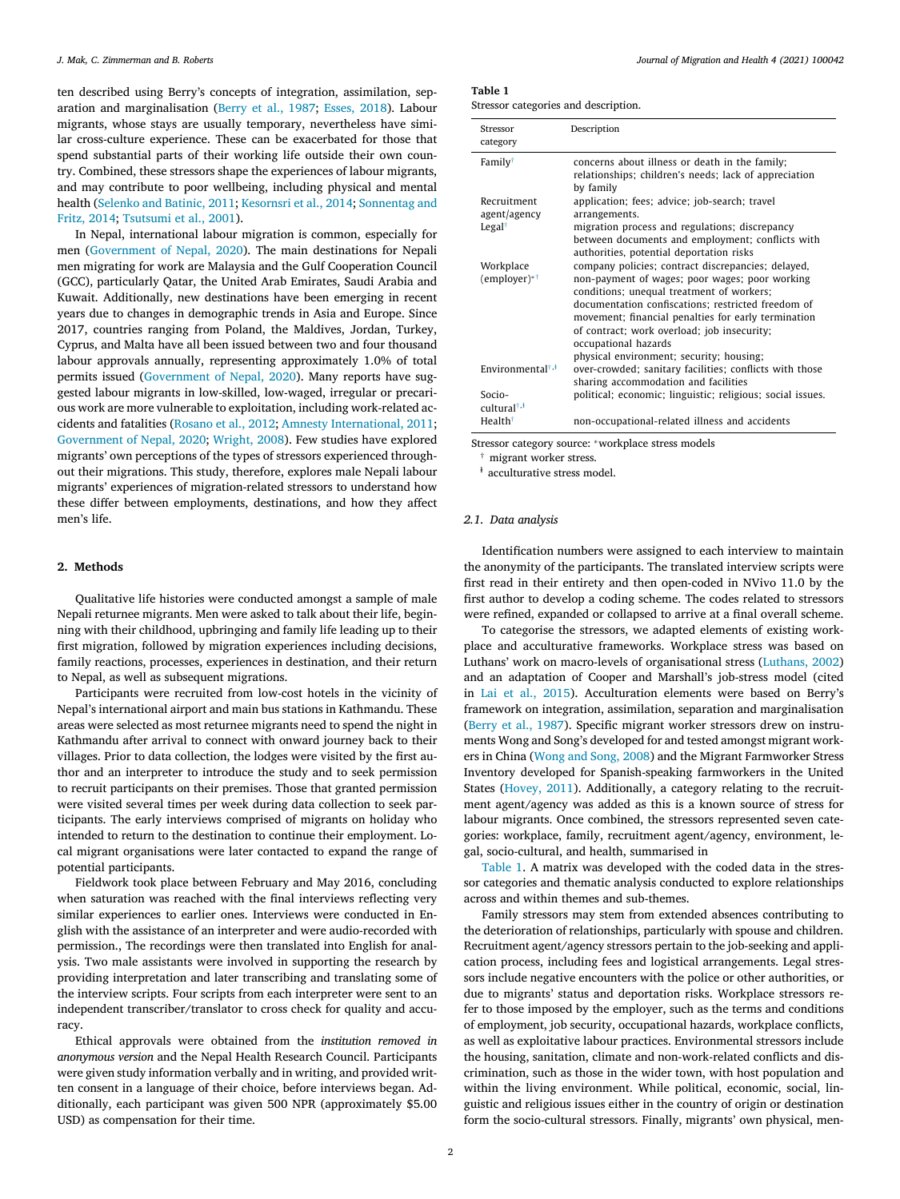ten described using Berry's concepts of integration, assimilation, separation and marginalisation [\(Berry](#page-7-0) et al., 1987; [Esses,](#page-7-0) 2018). Labour migrants, whose stays are usually temporary, nevertheless have similar cross-culture experience. These can be exacerbated for those that spend substantial parts of their working life outside their own country. Combined, these stressors shape the experiences of labour migrants, and may contribute to poor wellbeing, including physical and mental health [\(Selenko](#page-7-0) and Batinic, 2011; [Kesornsri](#page-7-0) et al., 2014; [Sonnentag](#page-7-0) and Fritz, 2014; [Tsutsumi](#page-8-0) et al., 2001).

In Nepal, international labour migration is common, especially for men [\(Government](#page-7-0) of Nepal, 2020). The main destinations for Nepali men migrating for work are Malaysia and the Gulf Cooperation Council (GCC), particularly Qatar, the United Arab Emirates, Saudi Arabia and Kuwait. Additionally, new destinations have been emerging in recent years due to changes in demographic trends in Asia and Europe. Since 2017, countries ranging from Poland, the Maldives, Jordan, Turkey, Cyprus, and Malta have all been issued between two and four thousand labour approvals annually, representing approximately 1.0% of total permits issued [\(Government](#page-7-0) of Nepal, 2020). Many reports have suggested labour migrants in low-skilled, low-waged, irregular or precarious work are more vulnerable to exploitation, including work-related accidents and fatalities [\(Rosano](#page-7-0) et al., 2012; Amnesty [International,](#page-7-0) 2011; [Government](#page-7-0) of Nepal, 2020; [Wright,](#page-8-0) 2008). Few studies have explored migrants' own perceptions of the types of stressors experienced throughout their migrations. This study, therefore, explores male Nepali labour migrants' experiences of migration-related stressors to understand how these differ between employments, destinations, and how they affect men's life.

#### **2. Methods**

Qualitative life histories were conducted amongst a sample of male Nepali returnee migrants. Men were asked to talk about their life, beginning with their childhood, upbringing and family life leading up to their first migration, followed by migration experiences including decisions, family reactions, processes, experiences in destination, and their return to Nepal, as well as subsequent migrations.

Participants were recruited from low-cost hotels in the vicinity of Nepal's international airport and main bus stations in Kathmandu. These areas were selected as most returnee migrants need to spend the night in Kathmandu after arrival to connect with onward journey back to their villages. Prior to data collection, the lodges were visited by the first author and an interpreter to introduce the study and to seek permission to recruit participants on their premises. Those that granted permission were visited several times per week during data collection to seek participants. The early interviews comprised of migrants on holiday who intended to return to the destination to continue their employment. Local migrant organisations were later contacted to expand the range of potential participants.

Fieldwork took place between February and May 2016, concluding when saturation was reached with the final interviews reflecting very similar experiences to earlier ones. Interviews were conducted in English with the assistance of an interpreter and were audio-recorded with permission., The recordings were then translated into English for analysis. Two male assistants were involved in supporting the research by providing interpretation and later transcribing and translating some of the interview scripts. Four scripts from each interpreter were sent to an independent transcriber/translator to cross check for quality and accuracy.

Ethical approvals were obtained from the *institution removed in anonymous version* and the Nepal Health Research Council. Participants were given study information verbally and in writing, and provided written consent in a language of their choice, before interviews began. Additionally, each participant was given 500 NPR (approximately \$5.00 USD) as compensation for their time.

# **Table 1**

|  |  |  | Stressor categories and description. |
|--|--|--|--------------------------------------|
|--|--|--|--------------------------------------|

| Stressor<br>category                     | Description                                                                                                                                                                                                                                                                                                                                                                       |
|------------------------------------------|-----------------------------------------------------------------------------------------------------------------------------------------------------------------------------------------------------------------------------------------------------------------------------------------------------------------------------------------------------------------------------------|
| Family <sup>†</sup>                      | concerns about illness or death in the family;<br>relationships; children's needs; lack of appreciation<br>by family                                                                                                                                                                                                                                                              |
| Recruitment<br>agent/agency              | application; fees; advice; job-search; travel<br>arrangements.                                                                                                                                                                                                                                                                                                                    |
| Legal <sup><math>\dagger</math></sup>    | migration process and regulations; discrepancy<br>between documents and employment; conflicts with<br>authorities, potential deportation risks                                                                                                                                                                                                                                    |
| Workplace<br>$($ employer $)*†$          | company policies; contract discrepancies; delayed,<br>non-payment of wages; poor wages; poor working<br>conditions; unequal treatment of workers;<br>documentation confiscations; restricted freedom of<br>movement; financial penalties for early termination<br>of contract; work overload; job insecurity;<br>occupational hazards<br>physical environment; security; housing; |
| Environmental <sup>†,<i></i>†</sup>      | over-crowded; sanitary facilities; conflicts with those<br>sharing accommodation and facilities                                                                                                                                                                                                                                                                                   |
| Socio-<br>cultural <sup>†,<i></i>†</sup> | political; economic; linguistic; religious; social issues.                                                                                                                                                                                                                                                                                                                        |
| Health <sup>†</sup>                      | non-occupational-related illness and accidents                                                                                                                                                                                                                                                                                                                                    |

Stressor category source: <sup>∗</sup>workplace stress models

† migrant worker stress.

<sup>t</sup> acculturative stress model.

#### *2.1. Data analysis*

Identification numbers were assigned to each interview to maintain the anonymity of the participants. The translated interview scripts were first read in their entirety and then open-coded in NVivo 11.0 by the first author to develop a coding scheme. The codes related to stressors were refined, expanded or collapsed to arrive at a final overall scheme.

To categorise the stressors, we adapted elements of existing workplace and acculturative frameworks. Workplace stress was based on Luthans' work on macro-levels of organisational stress [\(Luthans,](#page-7-0) 2002) and an adaptation of Cooper and Marshall's job-stress model (cited in Lai et al., [2015\)](#page-7-0). Acculturation elements were based on Berry's framework on integration, assimilation, separation and marginalisation [\(Berry](#page-7-0) et al., 1987). Specific migrant worker stressors drew on instruments Wong and Song's developed for and tested amongst migrant workers in China [\(Wong](#page-8-0) and Song, 2008) and the Migrant Farmworker Stress Inventory developed for Spanish-speaking farmworkers in the United States [\(Hovey,](#page-7-0) 2011). Additionally, a category relating to the recruitment agent/agency was added as this is a known source of stress for labour migrants. Once combined, the stressors represented seven categories: workplace, family, recruitment agent/agency, environment, legal, socio-cultural, and health, summarised in

Table 1. A matrix was developed with the coded data in the stressor categories and thematic analysis conducted to explore relationships across and within themes and sub-themes.

Family stressors may stem from extended absences contributing to the deterioration of relationships, particularly with spouse and children. Recruitment agent/agency stressors pertain to the job-seeking and application process, including fees and logistical arrangements. Legal stressors include negative encounters with the police or other authorities, or due to migrants' status and deportation risks. Workplace stressors refer to those imposed by the employer, such as the terms and conditions of employment, job security, occupational hazards, workplace conflicts, as well as exploitative labour practices. Environmental stressors include the housing, sanitation, climate and non-work-related conflicts and discrimination, such as those in the wider town, with host population and within the living environment. While political, economic, social, linguistic and religious issues either in the country of origin or destination form the socio-cultural stressors. Finally, migrants' own physical, men-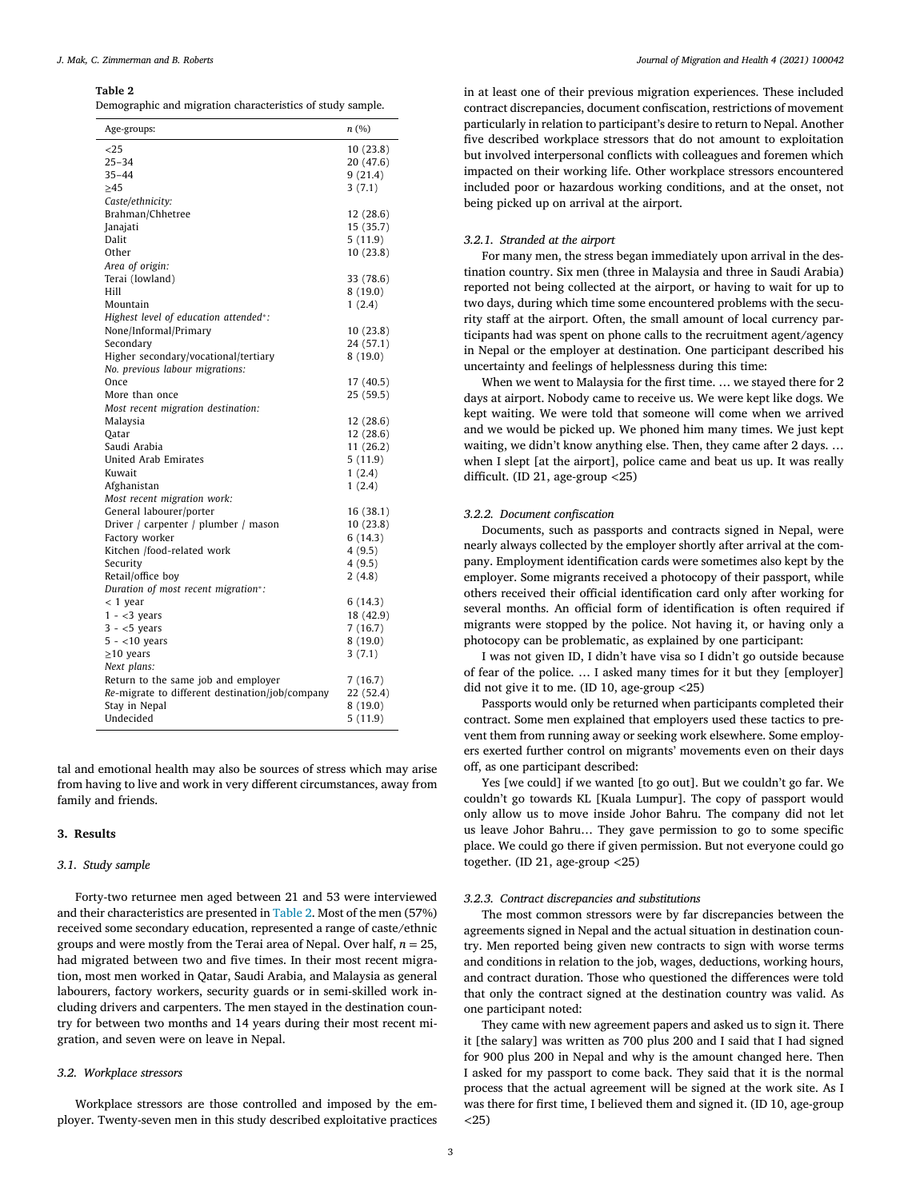#### **Table 2**

Demographic and migration characteristics of study sample.

| ${<}25$<br>25–34<br>$35 - 44$<br>$\geq 45$      | 10 (23.8)<br>20 (47.6)<br>9(21.4)<br>3(7.1)<br>12 (28.6)<br>15 (35.7) |
|-------------------------------------------------|-----------------------------------------------------------------------|
|                                                 |                                                                       |
|                                                 |                                                                       |
|                                                 |                                                                       |
|                                                 |                                                                       |
| Caste/ethnicity:                                |                                                                       |
| Brahman/Chhetree                                |                                                                       |
| Janajati                                        |                                                                       |
| Dalit                                           | 5(11.9)                                                               |
| Other                                           | 10(23.8)                                                              |
| Area of origin:                                 |                                                                       |
| Terai (lowland)                                 | 33 (78.6)                                                             |
| Hill                                            | 8(19.0)                                                               |
| Mountain                                        | 1(2.4)                                                                |
| Highest level of education attended*:           |                                                                       |
| None/Informal/Primary                           | 10(23.8)                                                              |
| Secondary                                       | 24 (57.1)                                                             |
| Higher secondary/vocational/tertiary            | 8 (19.0)                                                              |
| No. previous labour migrations:                 |                                                                       |
| Once                                            | 17 (40.5)                                                             |
| More than once                                  | 25 (59.5)                                                             |
| Most recent migration destination:              |                                                                       |
| Malaysia                                        | 12 (28.6)                                                             |
| Oatar                                           | 12 (28.6)                                                             |
| Saudi Arabia                                    | 11 (26.2)                                                             |
| United Arab Emirates                            | 5 (11.9)                                                              |
| Kuwait                                          | 1(2.4)                                                                |
| Afghanistan                                     | 1(2.4)                                                                |
| Most recent migration work:                     |                                                                       |
| General labourer/porter                         | 16 (38.1)                                                             |
| Driver / carpenter / plumber / mason            | 10(23.8)                                                              |
| Factory worker                                  | 6(14.3)                                                               |
| Kitchen /food-related work                      | 4 (9.5)                                                               |
| Security                                        | 4(9.5)                                                                |
| Retail/office boy                               | 2(4.8)                                                                |
| Duration of most recent migration*:             |                                                                       |
| $< 1$ year                                      | 6 (14.3)                                                              |
| $1 - 3 years$                                   | 18 (42.9)                                                             |
| $3 - 5$ years                                   | 7 (16.7)                                                              |
| $5 - < 10$ years                                | 8 (19.0)                                                              |
| $\geq$ 10 years                                 | 3(7.1)                                                                |
| Next plans:                                     |                                                                       |
| Return to the same job and employer             | 7 (16.7)                                                              |
| Re-migrate to different destination/job/company | 22 (52.4)                                                             |
| Stay in Nepal                                   | 8 (19.0)                                                              |
| Undecided                                       | 5 (11.9)                                                              |

tal and emotional health may also be sources of stress which may arise from having to live and work in very different circumstances, away from family and friends.

#### **3. Results**

#### *3.1. Study sample*

Forty-two returnee men aged between 21 and 53 were interviewed and their characteristics are presented in Table 2. Most of the men (57%) received some secondary education, represented a range of caste/ethnic groups and were mostly from the Terai area of Nepal. Over half, *n* = 25, had migrated between two and five times. In their most recent migration, most men worked in Qatar, Saudi Arabia, and Malaysia as general labourers, factory workers, security guards or in semi-skilled work including drivers and carpenters. The men stayed in the destination country for between two months and 14 years during their most recent migration, and seven were on leave in Nepal.

# *3.2. Workplace stressors*

Workplace stressors are those controlled and imposed by the employer. Twenty-seven men in this study described exploitative practices

in at least one of their previous migration experiences. These included contract discrepancies, document confiscation, restrictions of movement particularly in relation to participant's desire to return to Nepal. Another five described workplace stressors that do not amount to exploitation but involved interpersonal conflicts with colleagues and foremen which impacted on their working life. Other workplace stressors encountered included poor or hazardous working conditions, and at the onset, not being picked up on arrival at the airport.

#### *3.2.1. Stranded at the airport*

For many men, the stress began immediately upon arrival in the destination country. Six men (three in Malaysia and three in Saudi Arabia) reported not being collected at the airport, or having to wait for up to two days, during which time some encountered problems with the security staff at the airport. Often, the small amount of local currency participants had was spent on phone calls to the recruitment agent/agency in Nepal or the employer at destination. One participant described his uncertainty and feelings of helplessness during this time:

When we went to Malaysia for the first time. … we stayed there for 2 days at airport. Nobody came to receive us. We were kept like dogs. We kept waiting. We were told that someone will come when we arrived and we would be picked up. We phoned him many times. We just kept waiting, we didn't know anything else. Then, they came after 2 days. … when I slept [at the airport], police came and beat us up. It was really difficult. (ID 21, age-group *<*25)

#### *3.2.2. Document confiscation*

Documents, such as passports and contracts signed in Nepal, were nearly always collected by the employer shortly after arrival at the company. Employment identification cards were sometimes also kept by the employer. Some migrants received a photocopy of their passport, while others received their official identification card only after working for several months. An official form of identification is often required if migrants were stopped by the police. Not having it, or having only a photocopy can be problematic, as explained by one participant:

I was not given ID, I didn't have visa so I didn't go outside because of fear of the police. … I asked many times for it but they [employer] did not give it to me. (ID 10, age-group *<*25)

Passports would only be returned when participants completed their contract. Some men explained that employers used these tactics to prevent them from running away or seeking work elsewhere. Some employers exerted further control on migrants' movements even on their days off, as one participant described:

Yes [we could] if we wanted [to go out]. But we couldn't go far. We couldn't go towards KL [Kuala Lumpur]. The copy of passport would only allow us to move inside Johor Bahru. The company did not let us leave Johor Bahru… They gave permission to go to some specific place. We could go there if given permission. But not everyone could go together. (ID 21, age-group *<*25)

#### *3.2.3. Contract discrepancies and substitutions*

The most common stressors were by far discrepancies between the agreements signed in Nepal and the actual situation in destination country. Men reported being given new contracts to sign with worse terms and conditions in relation to the job, wages, deductions, working hours, and contract duration. Those who questioned the differences were told that only the contract signed at the destination country was valid. As one participant noted:

They came with new agreement papers and asked us to sign it. There it [the salary] was written as 700 plus 200 and I said that I had signed for 900 plus 200 in Nepal and why is the amount changed here. Then I asked for my passport to come back. They said that it is the normal process that the actual agreement will be signed at the work site. As I was there for first time, I believed them and signed it. (ID 10, age-group *<*25)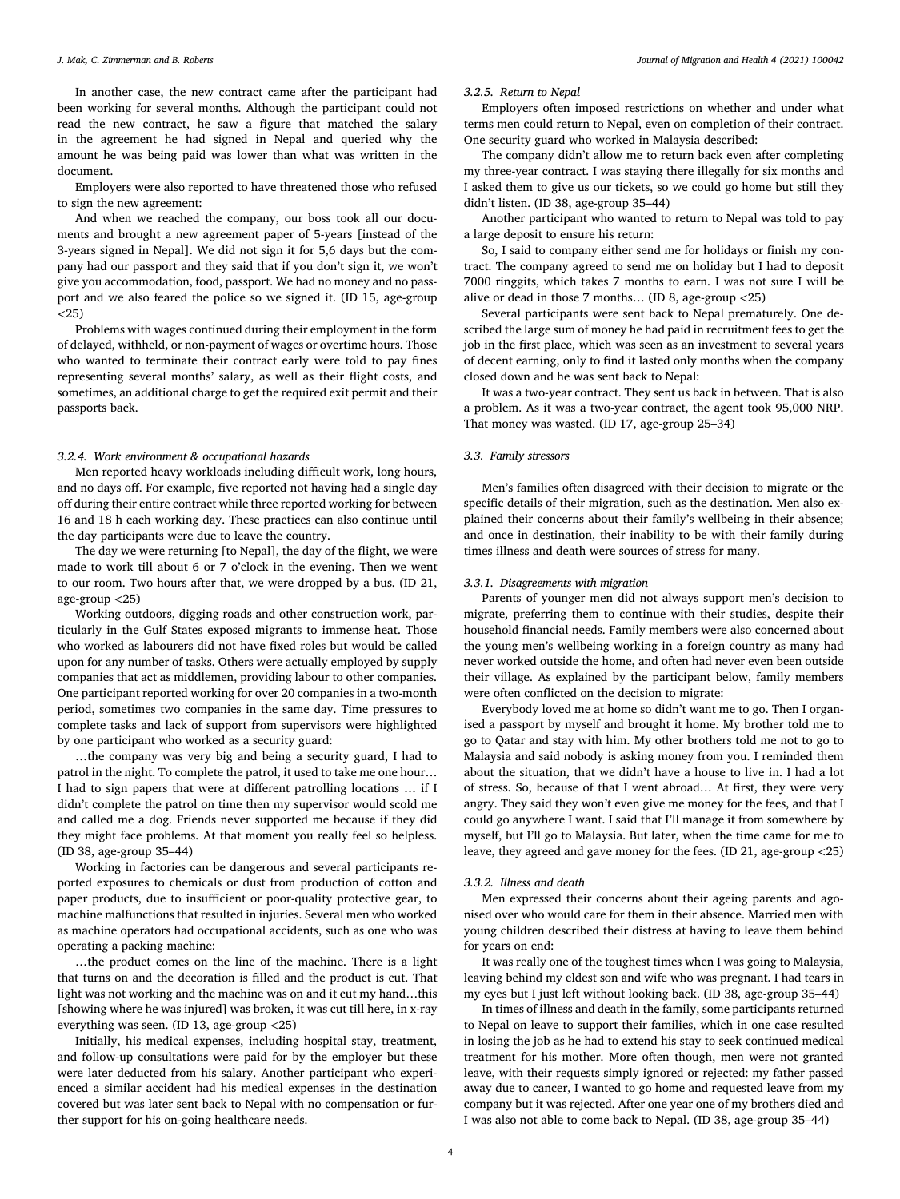In another case, the new contract came after the participant had been working for several months. Although the participant could not read the new contract, he saw a figure that matched the salary in the agreement he had signed in Nepal and queried why the amount he was being paid was lower than what was written in the document.

Employers were also reported to have threatened those who refused to sign the new agreement:

And when we reached the company, our boss took all our documents and brought a new agreement paper of 5-years [instead of the 3-years signed in Nepal]. We did not sign it for 5,6 days but the company had our passport and they said that if you don't sign it, we won't give you accommodation, food, passport. We had no money and no passport and we also feared the police so we signed it. (ID 15, age-group *<*25)

Problems with wages continued during their employment in the form of delayed, withheld, or non-payment of wages or overtime hours. Those who wanted to terminate their contract early were told to pay fines representing several months' salary, as well as their flight costs, and sometimes, an additional charge to get the required exit permit and their passports back.

### *3.2.4. Work environment & occupational hazards*

Men reported heavy workloads including difficult work, long hours, and no days off. For example, five reported not having had a single day off during their entire contract while three reported working for between 16 and 18 h each working day. These practices can also continue until the day participants were due to leave the country.

The day we were returning [to Nepal], the day of the flight, we were made to work till about 6 or 7 o'clock in the evening. Then we went to our room. Two hours after that, we were dropped by a bus. (ID 21, age-group *<*25)

Working outdoors, digging roads and other construction work, particularly in the Gulf States exposed migrants to immense heat. Those who worked as labourers did not have fixed roles but would be called upon for any number of tasks. Others were actually employed by supply companies that act as middlemen, providing labour to other companies. One participant reported working for over 20 companies in a two-month period, sometimes two companies in the same day. Time pressures to complete tasks and lack of support from supervisors were highlighted by one participant who worked as a security guard:

…the company was very big and being a security guard, I had to patrol in the night. To complete the patrol, it used to take me one hour… I had to sign papers that were at different patrolling locations … if I didn't complete the patrol on time then my supervisor would scold me and called me a dog. Friends never supported me because if they did they might face problems. At that moment you really feel so helpless. (ID 38, age-group 35–44)

Working in factories can be dangerous and several participants reported exposures to chemicals or dust from production of cotton and paper products, due to insufficient or poor-quality protective gear, to machine malfunctions that resulted in injuries. Several men who worked as machine operators had occupational accidents, such as one who was operating a packing machine:

…the product comes on the line of the machine. There is a light that turns on and the decoration is filled and the product is cut. That light was not working and the machine was on and it cut my hand…this [showing where he was injured] was broken, it was cut till here, in x-ray everything was seen. (ID 13, age-group *<*25)

Initially, his medical expenses, including hospital stay, treatment, and follow-up consultations were paid for by the employer but these were later deducted from his salary. Another participant who experienced a similar accident had his medical expenses in the destination covered but was later sent back to Nepal with no compensation or further support for his on-going healthcare needs.

#### *3.2.5. Return to Nepal*

Employers often imposed restrictions on whether and under what terms men could return to Nepal, even on completion of their contract. One security guard who worked in Malaysia described:

The company didn't allow me to return back even after completing my three-year contract. I was staying there illegally for six months and I asked them to give us our tickets, so we could go home but still they didn't listen. (ID 38, age-group 35–44)

Another participant who wanted to return to Nepal was told to pay a large deposit to ensure his return:

So, I said to company either send me for holidays or finish my contract. The company agreed to send me on holiday but I had to deposit 7000 ringgits, which takes 7 months to earn. I was not sure I will be alive or dead in those 7 months… (ID 8, age-group *<*25)

Several participants were sent back to Nepal prematurely. One described the large sum of money he had paid in recruitment fees to get the job in the first place, which was seen as an investment to several years of decent earning, only to find it lasted only months when the company closed down and he was sent back to Nepal:

It was a two-year contract. They sent us back in between. That is also a problem. As it was a two-year contract, the agent took 95,000 NRP. That money was wasted. (ID 17, age-group 25–34)

#### *3.3. Family stressors*

Men's families often disagreed with their decision to migrate or the specific details of their migration, such as the destination. Men also explained their concerns about their family's wellbeing in their absence; and once in destination, their inability to be with their family during times illness and death were sources of stress for many.

#### *3.3.1. Disagreements with migration*

Parents of younger men did not always support men's decision to migrate, preferring them to continue with their studies, despite their household financial needs. Family members were also concerned about the young men's wellbeing working in a foreign country as many had never worked outside the home, and often had never even been outside their village. As explained by the participant below, family members were often conflicted on the decision to migrate:

Everybody loved me at home so didn't want me to go. Then I organised a passport by myself and brought it home. My brother told me to go to Qatar and stay with him. My other brothers told me not to go to Malaysia and said nobody is asking money from you. I reminded them about the situation, that we didn't have a house to live in. I had a lot of stress. So, because of that I went abroad… At first, they were very angry. They said they won't even give me money for the fees, and that I could go anywhere I want. I said that I'll manage it from somewhere by myself, but I'll go to Malaysia. But later, when the time came for me to leave, they agreed and gave money for the fees. (ID 21, age-group *<*25)

#### *3.3.2. Illness and death*

Men expressed their concerns about their ageing parents and agonised over who would care for them in their absence. Married men with young children described their distress at having to leave them behind for years on end:

It was really one of the toughest times when I was going to Malaysia, leaving behind my eldest son and wife who was pregnant. I had tears in my eyes but I just left without looking back. (ID 38, age-group 35–44)

In times of illness and death in the family, some participants returned to Nepal on leave to support their families, which in one case resulted in losing the job as he had to extend his stay to seek continued medical treatment for his mother. More often though, men were not granted leave, with their requests simply ignored or rejected: my father passed away due to cancer, I wanted to go home and requested leave from my company but it was rejected. After one year one of my brothers died and I was also not able to come back to Nepal. (ID 38, age-group 35–44)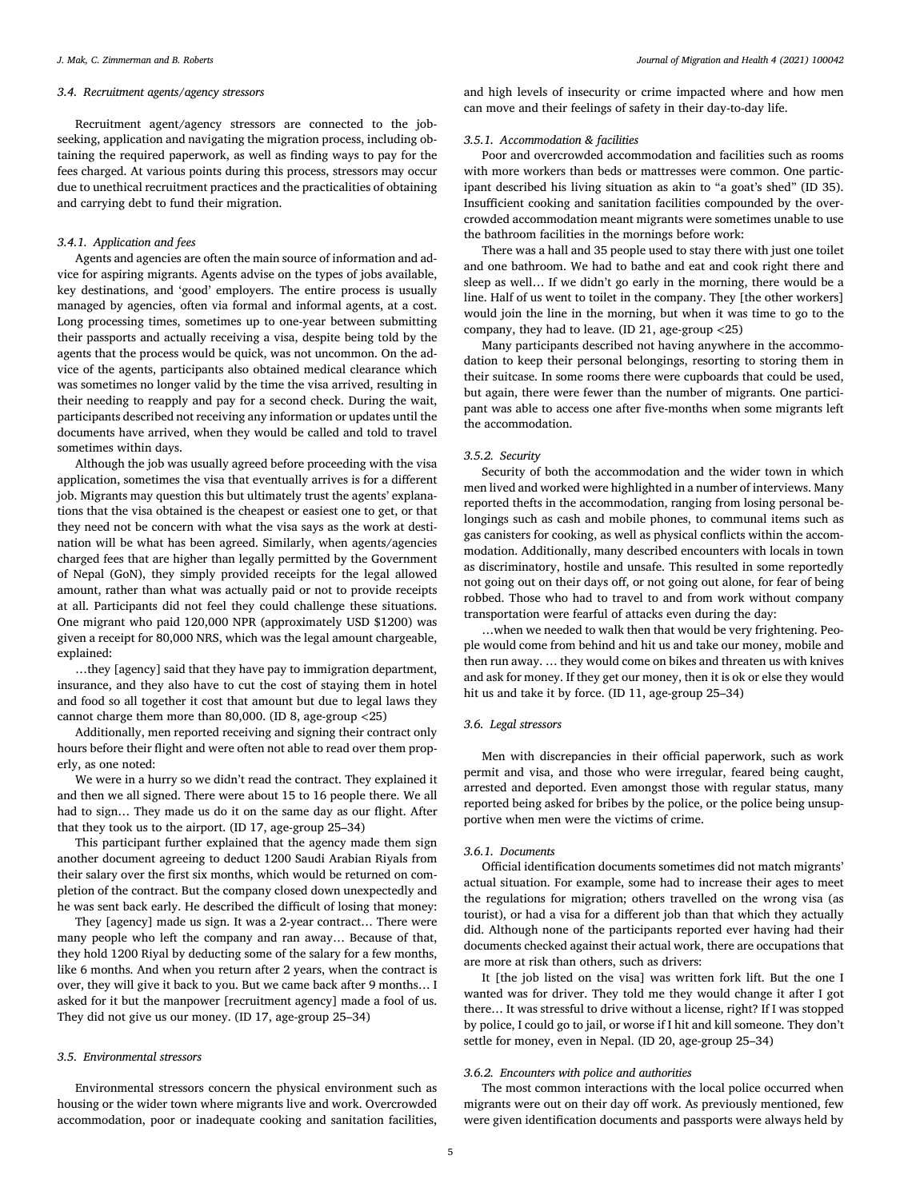### *3.4. Recruitment agents/agency stressors*

Recruitment agent/agency stressors are connected to the jobseeking, application and navigating the migration process, including obtaining the required paperwork, as well as finding ways to pay for the fees charged. At various points during this process, stressors may occur due to unethical recruitment practices and the practicalities of obtaining and carrying debt to fund their migration.

#### *3.4.1. Application and fees*

Agents and agencies are often the main source of information and advice for aspiring migrants. Agents advise on the types of jobs available, key destinations, and 'good' employers. The entire process is usually managed by agencies, often via formal and informal agents, at a cost. Long processing times, sometimes up to one-year between submitting their passports and actually receiving a visa, despite being told by the agents that the process would be quick, was not uncommon. On the advice of the agents, participants also obtained medical clearance which was sometimes no longer valid by the time the visa arrived, resulting in their needing to reapply and pay for a second check. During the wait, participants described not receiving any information or updates until the documents have arrived, when they would be called and told to travel sometimes within days.

Although the job was usually agreed before proceeding with the visa application, sometimes the visa that eventually arrives is for a different job. Migrants may question this but ultimately trust the agents' explanations that the visa obtained is the cheapest or easiest one to get, or that they need not be concern with what the visa says as the work at destination will be what has been agreed. Similarly, when agents/agencies charged fees that are higher than legally permitted by the Government of Nepal (GoN), they simply provided receipts for the legal allowed amount, rather than what was actually paid or not to provide receipts at all. Participants did not feel they could challenge these situations. One migrant who paid 120,000 NPR (approximately USD \$1200) was given a receipt for 80,000 NRS, which was the legal amount chargeable, explained:

…they [agency] said that they have pay to immigration department, insurance, and they also have to cut the cost of staying them in hotel and food so all together it cost that amount but due to legal laws they cannot charge them more than 80,000. (ID 8, age-group *<*25)

Additionally, men reported receiving and signing their contract only hours before their flight and were often not able to read over them properly, as one noted:

We were in a hurry so we didn't read the contract. They explained it and then we all signed. There were about 15 to 16 people there. We all had to sign… They made us do it on the same day as our flight. After that they took us to the airport. (ID 17, age-group 25–34)

This participant further explained that the agency made them sign another document agreeing to deduct 1200 Saudi Arabian Riyals from their salary over the first six months, which would be returned on completion of the contract. But the company closed down unexpectedly and he was sent back early. He described the difficult of losing that money:

They [agency] made us sign. It was a 2-year contract… There were many people who left the company and ran away… Because of that, they hold 1200 Riyal by deducting some of the salary for a few months, like 6 months. And when you return after 2 years, when the contract is over, they will give it back to you. But we came back after 9 months… I asked for it but the manpower [recruitment agency] made a fool of us. They did not give us our money. (ID 17, age-group 25–34)

#### *3.5. Environmental stressors*

Environmental stressors concern the physical environment such as housing or the wider town where migrants live and work. Overcrowded accommodation, poor or inadequate cooking and sanitation facilities,

and high levels of insecurity or crime impacted where and how men can move and their feelings of safety in their day-to-day life.

#### *3.5.1. Accommodation & facilities*

Poor and overcrowded accommodation and facilities such as rooms with more workers than beds or mattresses were common. One participant described his living situation as akin to "a goat's shed" (ID 35). Insufficient cooking and sanitation facilities compounded by the overcrowded accommodation meant migrants were sometimes unable to use the bathroom facilities in the mornings before work:

There was a hall and 35 people used to stay there with just one toilet and one bathroom. We had to bathe and eat and cook right there and sleep as well… If we didn't go early in the morning, there would be a line. Half of us went to toilet in the company. They [the other workers] would join the line in the morning, but when it was time to go to the company, they had to leave. (ID 21, age-group *<*25)

Many participants described not having anywhere in the accommodation to keep their personal belongings, resorting to storing them in their suitcase. In some rooms there were cupboards that could be used, but again, there were fewer than the number of migrants. One participant was able to access one after five-months when some migrants left the accommodation.

#### *3.5.2. Security*

Security of both the accommodation and the wider town in which men lived and worked were highlighted in a number of interviews. Many reported thefts in the accommodation, ranging from losing personal belongings such as cash and mobile phones, to communal items such as gas canisters for cooking, as well as physical conflicts within the accommodation. Additionally, many described encounters with locals in town as discriminatory, hostile and unsafe. This resulted in some reportedly not going out on their days off, or not going out alone, for fear of being robbed. Those who had to travel to and from work without company transportation were fearful of attacks even during the day:

…when we needed to walk then that would be very frightening. People would come from behind and hit us and take our money, mobile and then run away. … they would come on bikes and threaten us with knives and ask for money. If they get our money, then it is ok or else they would hit us and take it by force. (ID 11, age-group 25–34)

#### *3.6. Legal stressors*

Men with discrepancies in their official paperwork, such as work permit and visa, and those who were irregular, feared being caught, arrested and deported. Even amongst those with regular status, many reported being asked for bribes by the police, or the police being unsupportive when men were the victims of crime.

#### *3.6.1. Documents*

Official identification documents sometimes did not match migrants' actual situation. For example, some had to increase their ages to meet the regulations for migration; others travelled on the wrong visa (as tourist), or had a visa for a different job than that which they actually did. Although none of the participants reported ever having had their documents checked against their actual work, there are occupations that are more at risk than others, such as drivers:

It [the job listed on the visa] was written fork lift. But the one I wanted was for driver. They told me they would change it after I got there… It was stressful to drive without a license, right? If I was stopped by police, I could go to jail, or worse if I hit and kill someone. They don't settle for money, even in Nepal. (ID 20, age-group 25–34)

# *3.6.2. Encounters with police and authorities*

The most common interactions with the local police occurred when migrants were out on their day off work. As previously mentioned, few were given identification documents and passports were always held by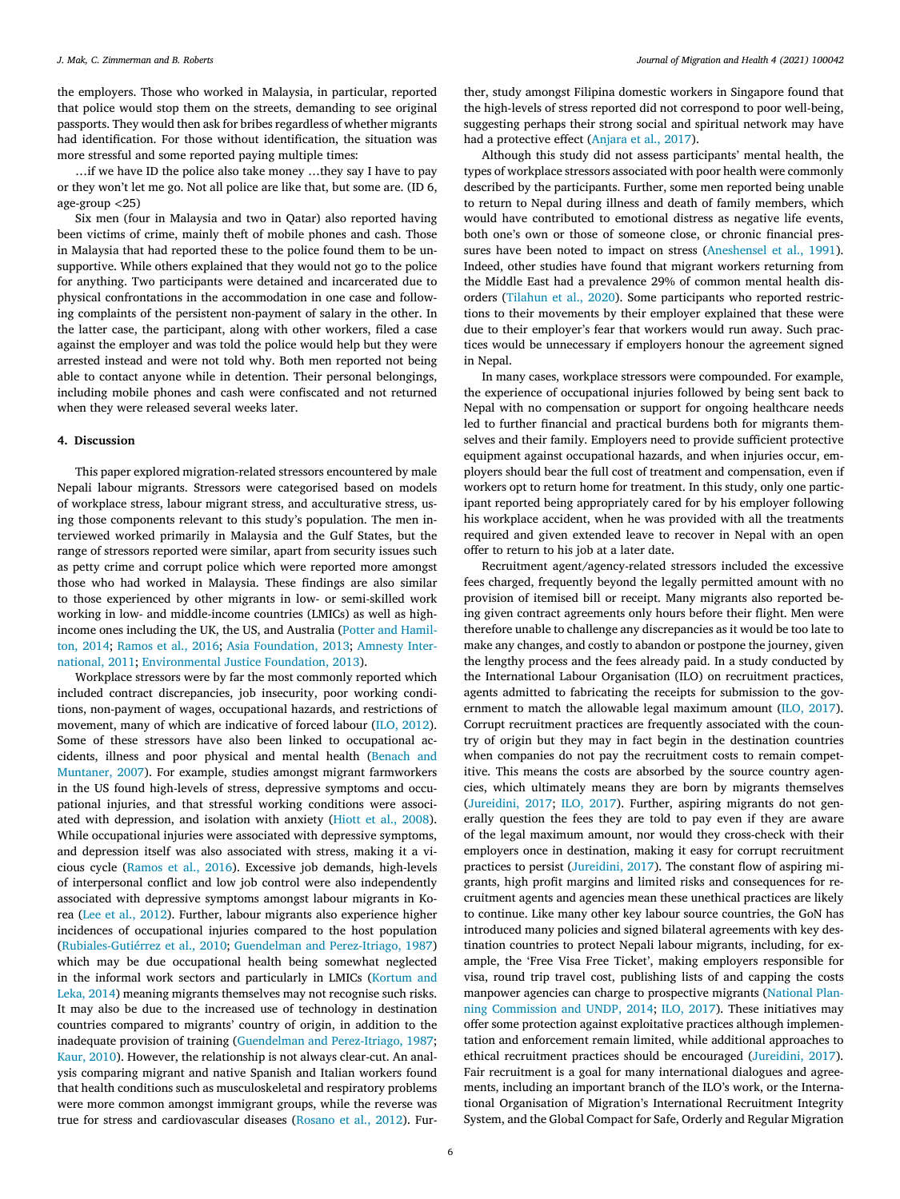the employers. Those who worked in Malaysia, in particular, reported that police would stop them on the streets, demanding to see original passports. They would then ask for bribes regardless of whether migrants had identification. For those without identification, the situation was more stressful and some reported paying multiple times:

…if we have ID the police also take money …they say I have to pay or they won't let me go. Not all police are like that, but some are. (ID 6, age-group *<*25)

Six men (four in Malaysia and two in Qatar) also reported having been victims of crime, mainly theft of mobile phones and cash. Those in Malaysia that had reported these to the police found them to be unsupportive. While others explained that they would not go to the police for anything. Two participants were detained and incarcerated due to physical confrontations in the accommodation in one case and following complaints of the persistent non-payment of salary in the other. In the latter case, the participant, along with other workers, filed a case against the employer and was told the police would help but they were arrested instead and were not told why. Both men reported not being able to contact anyone while in detention. Their personal belongings, including mobile phones and cash were confiscated and not returned when they were released several weeks later.

#### **4. Discussion**

This paper explored migration-related stressors encountered by male Nepali labour migrants. Stressors were categorised based on models of workplace stress, labour migrant stress, and acculturative stress, using those components relevant to this study's population. The men interviewed worked primarily in Malaysia and the Gulf States, but the range of stressors reported were similar, apart from security issues such as petty crime and corrupt police which were reported more amongst those who had worked in Malaysia. These findings are also similar to those experienced by other migrants in low- or semi-skilled work working in low- and middle-income countries (LMICs) as well as highincome ones including the UK, the US, and Australia (Potter and Hamilton, 2014; [Ramos](#page-7-0) et al., 2016; Asia [Foundation,](#page-7-0) 2013; Amnesty International, 2011; [Environmental](#page-7-0) Justice Foundation, 2013).

Workplace stressors were by far the most commonly reported which included contract discrepancies, job insecurity, poor working conditions, non-payment of wages, occupational hazards, and restrictions of movement, many of which are indicative of forced labour (ILO, [2012\)](#page-7-0). Some of these stressors have also been linked to occupational accidents, illness and poor physical and mental health (Benach and Muntaner, 2007). For example, studies amongst migrant [farmworkers](#page-7-0) in the US found high-levels of stress, depressive symptoms and occupational injuries, and that stressful working conditions were associated with depression, and isolation with anxiety [\(Hiott](#page-7-0) et al., 2008). While occupational injuries were associated with depressive symptoms, and depression itself was also associated with stress, making it a vicious cycle [\(Ramos](#page-7-0) et al., 2016). Excessive job demands, high-levels of interpersonal conflict and low job control were also independently associated with depressive symptoms amongst labour migrants in Korea (Lee et al., [2012\)](#page-7-0). Further, labour migrants also experience higher incidences of occupational injuries compared to the host population [\(Rubiales-Gutiérrez](#page-7-0) et al., 2010; Guendelman and [Perez-Itriago,](#page-7-0) 1987) which may be due occupational health being somewhat neglected in the informal work sectors and [particularly](#page-7-0) in LMICs (Kortum and Leka, 2014) meaning migrants themselves may not recognise such risks. It may also be due to the increased use of technology in destination countries compared to migrants' country of origin, in addition to the inadequate provision of training (Guendelman and [Perez-Itriago,](#page-7-0) 1987; [Kaur,](#page-7-0) 2010). However, the relationship is not always clear-cut. An analysis comparing migrant and native Spanish and Italian workers found that health conditions such as musculoskeletal and respiratory problems were more common amongst immigrant groups, while the reverse was true for stress and cardiovascular diseases [\(Rosano](#page-7-0) et al., 2012). Further, study amongst Filipina domestic workers in Singapore found that the high-levels of stress reported did not correspond to poor well-being, suggesting perhaps their strong social and spiritual network may have had a protective effect [\(Anjara](#page-7-0) et al., 2017).

Although this study did not assess participants' mental health, the types of workplace stressors associated with poor health were commonly described by the participants. Further, some men reported being unable to return to Nepal during illness and death of family members, which would have contributed to emotional distress as negative life events, both one's own or those of someone close, or chronic financial pressures have been noted to impact on stress [\(Aneshensel](#page-7-0) et al., 1991). Indeed, other studies have found that migrant workers returning from the Middle East had a prevalence 29% of common mental health disorders [\(Tilahun](#page-7-0) et al., 2020). Some participants who reported restrictions to their movements by their employer explained that these were due to their employer's fear that workers would run away. Such practices would be unnecessary if employers honour the agreement signed in Nepal.

In many cases, workplace stressors were compounded. For example, the experience of occupational injuries followed by being sent back to Nepal with no compensation or support for ongoing healthcare needs led to further financial and practical burdens both for migrants themselves and their family. Employers need to provide sufficient protective equipment against occupational hazards, and when injuries occur, employers should bear the full cost of treatment and compensation, even if workers opt to return home for treatment. In this study, only one participant reported being appropriately cared for by his employer following his workplace accident, when he was provided with all the treatments required and given extended leave to recover in Nepal with an open offer to return to his job at a later date.

Recruitment agent/agency-related stressors included the excessive fees charged, frequently beyond the legally permitted amount with no provision of itemised bill or receipt. Many migrants also reported being given contract agreements only hours before their flight. Men were therefore unable to challenge any discrepancies as it would be too late to make any changes, and costly to abandon or postpone the journey, given the lengthy process and the fees already paid. In a study conducted by the International Labour Organisation (ILO) on recruitment practices, agents admitted to fabricating the receipts for submission to the government to match the allowable legal maximum amount (ILO, [2017\)](#page-7-0). Corrupt recruitment practices are frequently associated with the country of origin but they may in fact begin in the destination countries when companies do not pay the recruitment costs to remain competitive. This means the costs are absorbed by the source country agencies, which ultimately means they are born by migrants themselves [\(Jureidini,](#page-7-0) 2017; ILO, [2017\)](#page-7-0). Further, aspiring migrants do not generally question the fees they are told to pay even if they are aware of the legal maximum amount, nor would they cross-check with their employers once in destination, making it easy for corrupt recruitment practices to persist [\(Jureidini,](#page-7-0) 2017). The constant flow of aspiring migrants, high profit margins and limited risks and consequences for recruitment agents and agencies mean these unethical practices are likely to continue. Like many other key labour source countries, the GoN has introduced many policies and signed bilateral agreements with key destination countries to protect Nepali labour migrants, including, for example, the 'Free Visa Free Ticket', making employers responsible for visa, round trip travel cost, publishing lists of and capping the costs manpower agencies can charge to prospective migrants (National Planning [Commission](#page-7-0) and UNDP, 2014; ILO, [2017\)](#page-7-0). These initiatives may offer some protection against exploitative practices although implementation and enforcement remain limited, while additional approaches to ethical recruitment practices should be encouraged [\(Jureidini,](#page-7-0) 2017). Fair recruitment is a goal for many international dialogues and agreements, including an important branch of the ILO's work, or the International Organisation of Migration's International Recruitment Integrity System, and the Global Compact for Safe, Orderly and Regular Migration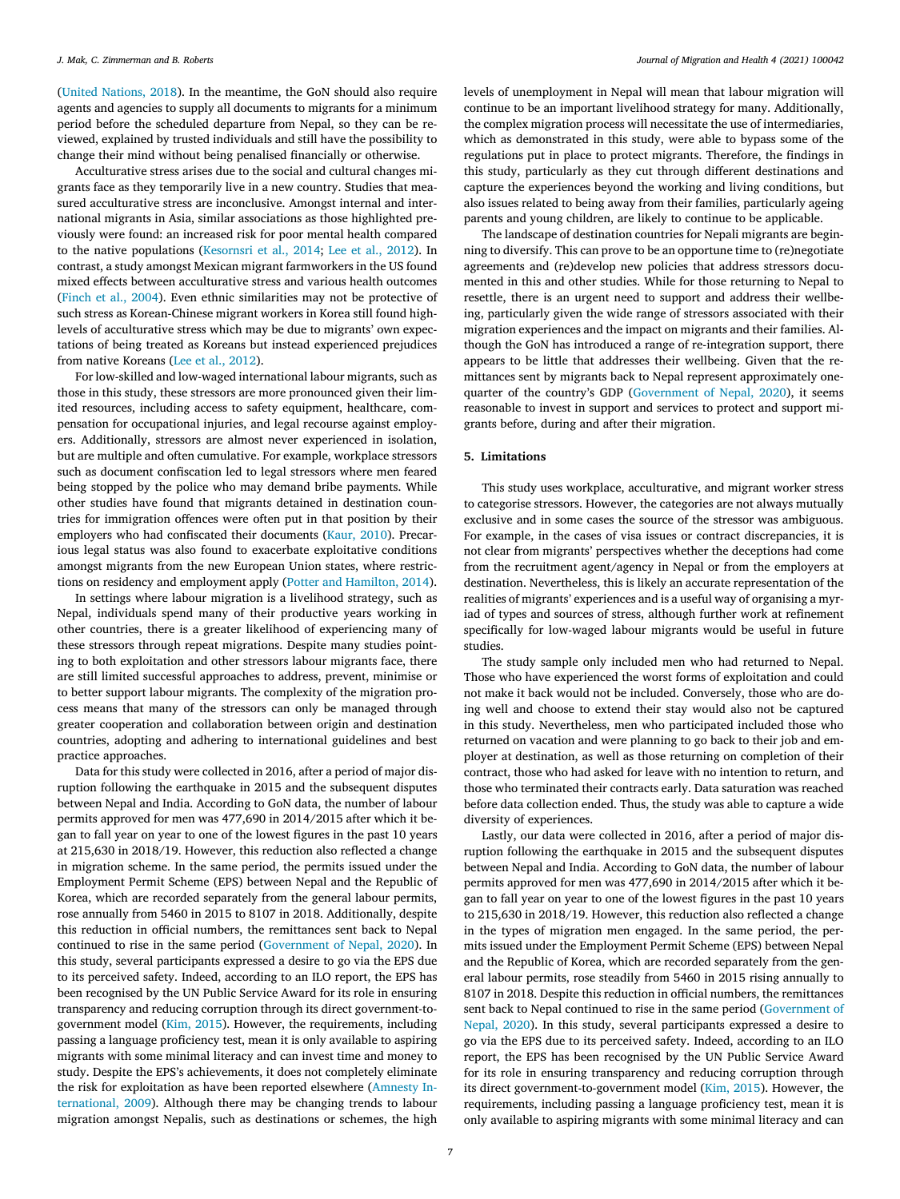(United [Nations,](#page-8-0) 2018). In the meantime, the GoN should also require agents and agencies to supply all documents to migrants for a minimum period before the scheduled departure from Nepal, so they can be reviewed, explained by trusted individuals and still have the possibility to change their mind without being penalised financially or otherwise.

Acculturative stress arises due to the social and cultural changes migrants face as they temporarily live in a new country. Studies that measured acculturative stress are inconclusive. Amongst internal and international migrants in Asia, similar associations as those highlighted previously were found: an increased risk for poor mental health compared to the native populations [\(Kesornsri](#page-7-0) et al., 2014; Lee et al., [2012\)](#page-7-0). In contrast, a study amongst Mexican migrant farmworkers in the US found mixed effects between acculturative stress and various health outcomes [\(Finch](#page-7-0) et al., 2004). Even ethnic similarities may not be protective of such stress as Korean-Chinese migrant workers in Korea still found highlevels of acculturative stress which may be due to migrants' own expectations of being treated as Koreans but instead experienced prejudices from native Koreans (Lee et al., [2012\)](#page-7-0).

For low-skilled and low-waged international labour migrants, such as those in this study, these stressors are more pronounced given their limited resources, including access to safety equipment, healthcare, compensation for occupational injuries, and legal recourse against employers. Additionally, stressors are almost never experienced in isolation, but are multiple and often cumulative. For example, workplace stressors such as document confiscation led to legal stressors where men feared being stopped by the police who may demand bribe payments. While other studies have found that migrants detained in destination countries for immigration offences were often put in that position by their employers who had confiscated their documents [\(Kaur,](#page-7-0) 2010). Precarious legal status was also found to exacerbate exploitative conditions amongst migrants from the new European Union states, where restrictions on residency and employment apply (Potter and [Hamilton,](#page-7-0) 2014).

In settings where labour migration is a livelihood strategy, such as Nepal, individuals spend many of their productive years working in other countries, there is a greater likelihood of experiencing many of these stressors through repeat migrations. Despite many studies pointing to both exploitation and other stressors labour migrants face, there are still limited successful approaches to address, prevent, minimise or to better support labour migrants. The complexity of the migration process means that many of the stressors can only be managed through greater cooperation and collaboration between origin and destination countries, adopting and adhering to international guidelines and best practice approaches.

Data for this study were collected in 2016, after a period of major disruption following the earthquake in 2015 and the subsequent disputes between Nepal and India. According to GoN data, the number of labour permits approved for men was 477,690 in 2014/2015 after which it began to fall year on year to one of the lowest figures in the past 10 years at 215,630 in 2018/19. However, this reduction also reflected a change in migration scheme. In the same period, the permits issued under the Employment Permit Scheme (EPS) between Nepal and the Republic of Korea, which are recorded separately from the general labour permits, rose annually from 5460 in 2015 to 8107 in 2018. Additionally, despite this reduction in official numbers, the remittances sent back to Nepal continued to rise in the same period [\(Government](#page-7-0) of Nepal, 2020). In this study, several participants expressed a desire to go via the EPS due to its perceived safety. Indeed, according to an ILO report, the EPS has been recognised by the UN Public Service Award for its role in ensuring transparency and reducing corruption through its direct government-togovernment model (Kim, [2015\)](#page-7-0). However, the requirements, including passing a language proficiency test, mean it is only available to aspiring migrants with some minimal literacy and can invest time and money to study. Despite the EPS's achievements, it does not completely eliminate the risk for [exploitation](#page-7-0) as have been reported elsewhere (Amnesty International, 2009). Although there may be changing trends to labour migration amongst Nepalis, such as destinations or schemes, the high levels of unemployment in Nepal will mean that labour migration will continue to be an important livelihood strategy for many. Additionally, the complex migration process will necessitate the use of intermediaries, which as demonstrated in this study, were able to bypass some of the regulations put in place to protect migrants. Therefore, the findings in this study, particularly as they cut through different destinations and capture the experiences beyond the working and living conditions, but also issues related to being away from their families, particularly ageing parents and young children, are likely to continue to be applicable.

The landscape of destination countries for Nepali migrants are beginning to diversify. This can prove to be an opportune time to (re)negotiate agreements and (re)develop new policies that address stressors documented in this and other studies. While for those returning to Nepal to resettle, there is an urgent need to support and address their wellbeing, particularly given the wide range of stressors associated with their migration experiences and the impact on migrants and their families. Although the GoN has introduced a range of re-integration support, there appears to be little that addresses their wellbeing. Given that the remittances sent by migrants back to Nepal represent approximately onequarter of the country's GDP [\(Government](#page-7-0) of Nepal, 2020), it seems reasonable to invest in support and services to protect and support migrants before, during and after their migration.

# **5. Limitations**

This study uses workplace, acculturative, and migrant worker stress to categorise stressors. However, the categories are not always mutually exclusive and in some cases the source of the stressor was ambiguous. For example, in the cases of visa issues or contract discrepancies, it is not clear from migrants' perspectives whether the deceptions had come from the recruitment agent/agency in Nepal or from the employers at destination. Nevertheless, this is likely an accurate representation of the realities of migrants' experiences and is a useful way of organising a myriad of types and sources of stress, although further work at refinement specifically for low-waged labour migrants would be useful in future studies.

The study sample only included men who had returned to Nepal. Those who have experienced the worst forms of exploitation and could not make it back would not be included. Conversely, those who are doing well and choose to extend their stay would also not be captured in this study. Nevertheless, men who participated included those who returned on vacation and were planning to go back to their job and employer at destination, as well as those returning on completion of their contract, those who had asked for leave with no intention to return, and those who terminated their contracts early. Data saturation was reached before data collection ended. Thus, the study was able to capture a wide diversity of experiences.

Lastly, our data were collected in 2016, after a period of major disruption following the earthquake in 2015 and the subsequent disputes between Nepal and India. According to GoN data, the number of labour permits approved for men was 477,690 in 2014/2015 after which it began to fall year on year to one of the lowest figures in the past 10 years to 215,630 in 2018/19. However, this reduction also reflected a change in the types of migration men engaged. In the same period, the permits issued under the Employment Permit Scheme (EPS) between Nepal and the Republic of Korea, which are recorded separately from the general labour permits, rose steadily from 5460 in 2015 rising annually to 8107 in 2018. Despite this reduction in official numbers, the remittances sent back to Nepal continued to rise in the same period [\(Government](#page-7-0) of Nepal, 2020). In this study, several participants expressed a desire to go via the EPS due to its perceived safety. Indeed, according to an ILO report, the EPS has been recognised by the UN Public Service Award for its role in ensuring transparency and reducing corruption through its direct government-to-government model (Kim, [2015\)](#page-7-0). However, the requirements, including passing a language proficiency test, mean it is only available to aspiring migrants with some minimal literacy and can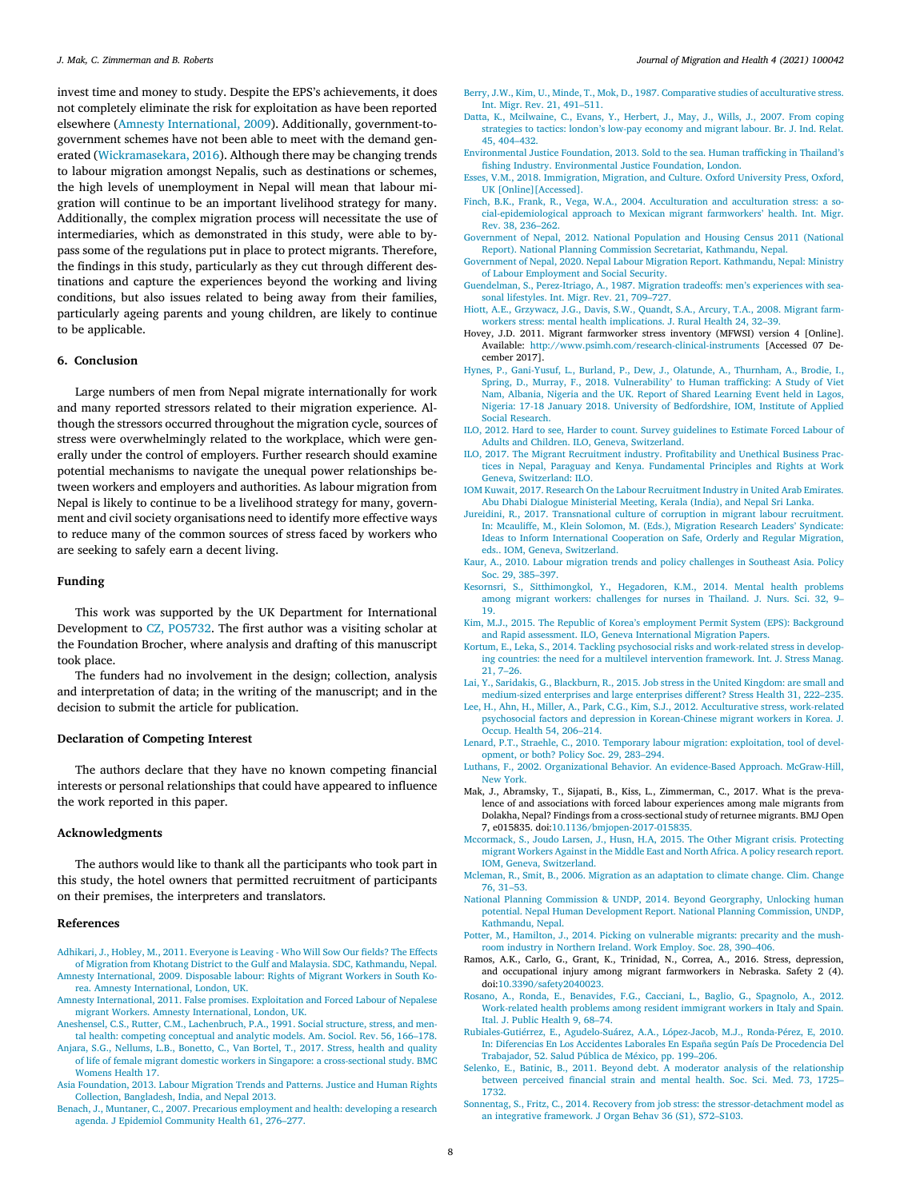<span id="page-7-0"></span>invest time and money to study. Despite the EPS's achievements, it does not completely eliminate the risk for exploitation as have been reported elsewhere (Amnesty International, 2009). Additionally, government-togovernment schemes have not been able to meet with the demand generated [\(Wickramasekara,](#page-8-0) 2016). Although there may be changing trends to labour migration amongst Nepalis, such as destinations or schemes, the high levels of unemployment in Nepal will mean that labour migration will continue to be an important livelihood strategy for many. Additionally, the complex migration process will necessitate the use of intermediaries, which as demonstrated in this study, were able to bypass some of the regulations put in place to protect migrants. Therefore, the findings in this study, particularly as they cut through different destinations and capture the experiences beyond the working and living conditions, but also issues related to being away from their families, particularly ageing parents and young children, are likely to continue to be applicable.

# **6. Conclusion**

Large numbers of men from Nepal migrate internationally for work and many reported stressors related to their migration experience. Although the stressors occurred throughout the migration cycle, sources of stress were overwhelmingly related to the workplace, which were generally under the control of employers. Further research should examine potential mechanisms to navigate the unequal power relationships between workers and employers and authorities. As labour migration from Nepal is likely to continue to be a livelihood strategy for many, government and civil society organisations need to identify more effective ways to reduce many of the common sources of stress faced by workers who are seeking to safely earn a decent living.

#### **Funding**

This work was supported by the UK Department for International Development to CZ, PO5732. The first author was a visiting scholar at the Foundation Brocher, where analysis and drafting of this manuscript took place.

The funders had no involvement in the design; collection, analysis and interpretation of data; in the writing of the manuscript; and in the decision to submit the article for publication.

#### **Declaration of Competing Interest**

The authors declare that they have no known competing financial interests or personal relationships that could have appeared to influence the work reported in this paper.

#### **Acknowledgments**

The authors would like to thank all the participants who took part in this study, the hotel owners that permitted recruitment of participants on their premises, the interpreters and translators.

#### **References**

- [Adhikari,](http://refhub.elsevier.com/S2666-6235(21)00009-X/sbref0001) J., [Hobley,](http://refhub.elsevier.com/S2666-6235(21)00009-X/sbref0001) M., 2011. Everyone is Leaving Who Will Sow Our fields? The Effects of Migration from Khotang District to the Gulf and Malaysia. SDC, [Kathmandu,](http://refhub.elsevier.com/S2666-6235(21)00009-X/sbref0001) Nepal. Amnesty [International,](http://refhub.elsevier.com/S2666-6235(21)00009-X/sbref0002) 2009. Disposable labour: Rights of Migrant Workers in South Korea. Amnesty International, London, UK.
- Amnesty [International,](http://refhub.elsevier.com/S2666-6235(21)00009-X/sbref0003) 2011. False promises. Exploitation and Forced Labour of Nepalese migrant Workers. Amnesty International, London, UK.
- [Aneshensel,](http://refhub.elsevier.com/S2666-6235(21)00009-X/sbref0004) C.S., [Rutter,](http://refhub.elsevier.com/S2666-6235(21)00009-X/sbref0004) C.M., [Lachenbruch,](http://refhub.elsevier.com/S2666-6235(21)00009-X/sbref0004) P.A., 1991. Social structure, stress, and mental health: competing conceptual and analytic models. Am. Sociol. Rev. 56, 166–178.
- [Anjara,](http://refhub.elsevier.com/S2666-6235(21)00009-X/sbref0005) S.G., [Nellums,](http://refhub.elsevier.com/S2666-6235(21)00009-X/sbref0005) L.B., [Bonetto,](http://refhub.elsevier.com/S2666-6235(21)00009-X/sbref0005) C., Van [Bortel,](http://refhub.elsevier.com/S2666-6235(21)00009-X/sbref0005) T., 2017. Stress, health and quality of life of female migrant domestic workers in Singapore: a [cross-sectional](http://refhub.elsevier.com/S2666-6235(21)00009-X/sbref0005) study. BMC Womens Health 17.
- Asia [Foundation,](http://refhub.elsevier.com/S2666-6235(21)00009-X/sbref0006) 2013. Labour Migration Trends and Patterns. Justice and Human Rights Collection, Bangladesh, India, and Nepal 2013.
- [Benach,](http://refhub.elsevier.com/S2666-6235(21)00009-X/sbref0007) J., [Muntaner,](http://refhub.elsevier.com/S2666-6235(21)00009-X/sbref0007) C., 2007. Precarious [employment](http://refhub.elsevier.com/S2666-6235(21)00009-X/sbref0007) and health: developing a research agenda. J Epidemiol Community Health 61, 276–277.
- [Berry,](http://refhub.elsevier.com/S2666-6235(21)00009-X/sbref0008) J.W., [Kim,](http://refhub.elsevier.com/S2666-6235(21)00009-X/sbref0008) U., [Minde,](http://refhub.elsevier.com/S2666-6235(21)00009-X/sbref0008) T., [Mok,](http://refhub.elsevier.com/S2666-6235(21)00009-X/sbref0008) D., 1987. Comparative studies of [acculturative](http://refhub.elsevier.com/S2666-6235(21)00009-X/sbref0008) stress. Int. Migr. Rev. 21, 491–511.
- [Datta,](http://refhub.elsevier.com/S2666-6235(21)00009-X/sbref0009) K., [Mcilwaine,](http://refhub.elsevier.com/S2666-6235(21)00009-X/sbref0009) C., [Evans,](http://refhub.elsevier.com/S2666-6235(21)00009-X/sbref0009) Y., [Herbert,](http://refhub.elsevier.com/S2666-6235(21)00009-X/sbref0009) J., [May,](http://refhub.elsevier.com/S2666-6235(21)00009-X/sbref0009) J., [Wills,](http://refhub.elsevier.com/S2666-6235(21)00009-X/sbref0009) J., 2007. From coping strategies to tactics: london's low-pay economy and migrant labour. Br. J. Ind. Relat. 45, 404–432.
- [Environmental](http://refhub.elsevier.com/S2666-6235(21)00009-X/sbref0010) Justice Foundation, 2013. Sold to the sea. Human trafficking in Thailand's fishing Industry. Environmental Justice Foundation, London.
- [Esses,](http://refhub.elsevier.com/S2666-6235(21)00009-X/sbref0011) V.M., 2018. Immigration, Migration, and Culture. Oxford University Press, Oxford, UK [\[Online\]\[Accessed\].](http://refhub.elsevier.com/S2666-6235(21)00009-X/sbref0011)
- [Finch,](http://refhub.elsevier.com/S2666-6235(21)00009-X/sbref0012) B.K., [Frank,](http://refhub.elsevier.com/S2666-6235(21)00009-X/sbref0012) R., [Vega,](http://refhub.elsevier.com/S2666-6235(21)00009-X/sbref0012) W.A., 2004. Acculturation and acculturation stress: a so[cial-epidemiological](http://refhub.elsevier.com/S2666-6235(21)00009-X/sbref0012) approach to Mexican migrant farmworkers' health. Int. Migr. Rev. 38, 236–262.
- [Government](http://refhub.elsevier.com/S2666-6235(21)00009-X/sbref0013) of Nepal, 2012. National Population and Housing Census 2011 (National Report). National Planning Commission Secretariat, Kathmandu, Nepal.
- Government of Nepal, 2020. Nepal Labour Migration Report. Kathmandu, Nepal: Ministry of Labour [Employment](http://refhub.elsevier.com/S2666-6235(21)00009-X/sbref0014) and Social Security.
- [Guendelman,](http://refhub.elsevier.com/S2666-6235(21)00009-X/sbref0015) S., [Perez-Itriago,](http://refhub.elsevier.com/S2666-6235(21)00009-X/sbref0015) A., 1987. Migration tradeoffs: men's experiences with seasonal lifestyles. Int. Migr. Rev. 21, 709–727.
- [Hiott,](http://refhub.elsevier.com/S2666-6235(21)00009-X/sbref0016) A.E., [Grzywacz,](http://refhub.elsevier.com/S2666-6235(21)00009-X/sbref0016) J.G., [Davis,](http://refhub.elsevier.com/S2666-6235(21)00009-X/sbref0016) S.W., [Quandt,](http://refhub.elsevier.com/S2666-6235(21)00009-X/sbref0016) S.A., [Arcury,](http://refhub.elsevier.com/S2666-6235(21)00009-X/sbref0016) T.A., 2008. Migrant farmworkers stress: mental health [implications.](http://refhub.elsevier.com/S2666-6235(21)00009-X/sbref0016) J. Rural Health 24, 32–39.
- Hovey, J.D. 2011. Migrant farmworker stress inventory (MFWSI) version 4 [Online]. Available: <http://www.psimh.com/research-clinical-instruments> [Accessed 07 December 2017].
- [Hynes,](http://refhub.elsevier.com/S2666-6235(21)00009-X/sbref0018) P., [Gani-Yusuf,](http://refhub.elsevier.com/S2666-6235(21)00009-X/sbref0018) L., [Burland,](http://refhub.elsevier.com/S2666-6235(21)00009-X/sbref0018) P., [Dew,](http://refhub.elsevier.com/S2666-6235(21)00009-X/sbref0018) J., [Olatunde,](http://refhub.elsevier.com/S2666-6235(21)00009-X/sbref0018) A., [Thurnham,](http://refhub.elsevier.com/S2666-6235(21)00009-X/sbref0018) A., [Brodie,](http://refhub.elsevier.com/S2666-6235(21)00009-X/sbref0018) I., [Spring,](http://refhub.elsevier.com/S2666-6235(21)00009-X/sbref0018) D., [Murray,](http://refhub.elsevier.com/S2666-6235(21)00009-X/sbref0018) F., 2018. [Vulnerability'](http://refhub.elsevier.com/S2666-6235(21)00009-X/sbref0018) to Human trafficking: A Study of Viet Nam, Albania, Nigeria and the UK. Report of Shared Learning Event held in Lagos, Nigeria: 17-18 January 2018. University of Bedfordshire, IOM, Institute of Applied Social Research.
- ILO, 2012. Hard to see, Harder to count. Survey guidelines to Estimate Forced Labour of Adults and Children. ILO, Geneva, [Switzerland.](http://refhub.elsevier.com/S2666-6235(21)00009-X/sbref0019)
- ILO, 2017. The Migrant Recruitment industry. Profitability and Unethical Business Practices in Nepal, Paraguay and Kenya. [Fundamental](http://refhub.elsevier.com/S2666-6235(21)00009-X/sbref0020) Principles and Rights at Work Geneva, Switzerland: ILO.
- IOM Kuwait, 2017. Research On the Labour [Recruitment](http://refhub.elsevier.com/S2666-6235(21)00009-X/sbref0021) Industry in United Arab Emirates. Abu Dhabi Dialogue Ministerial Meeting, Kerala (India), and Nepal Sri Lanka.
- [Jureidini,](http://refhub.elsevier.com/S2666-6235(21)00009-X/sbref0022) R., 2017. [Transnational](http://refhub.elsevier.com/S2666-6235(21)00009-X/sbref0022) culture of corruption in migrant labour recruitment. In: Mcauliffe, M., Klein Solomon, M. (Eds.), Migration Research Leaders' Syndicate: Ideas to Inform International Cooperation on Safe, Orderly and Regular Migration, eds.. IOM, Geneva, Switzerland.
- [Kaur,](http://refhub.elsevier.com/S2666-6235(21)00009-X/sbref0023) A., 2010. Labour migration trends and policy [challenges](http://refhub.elsevier.com/S2666-6235(21)00009-X/sbref0023) in Southeast Asia. Policy Soc. 29, 385–397.
- [Kesornsri,](http://refhub.elsevier.com/S2666-6235(21)00009-X/sbref0024) S., [Sitthimongkol,](http://refhub.elsevier.com/S2666-6235(21)00009-X/sbref0024) Y., [Hegadoren,](http://refhub.elsevier.com/S2666-6235(21)00009-X/sbref0024) K.M., 2014. Mental health problems among migrant workers: challenges for nurses in Thailand. J. Nurs. Sci. 32, 9– 19.
- [Kim,](http://refhub.elsevier.com/S2666-6235(21)00009-X/sbref0025) M.J., 2015. The Republic of Korea's employment Permit System (EPS): Background and Rapid assessment. ILO, Geneva [International](http://refhub.elsevier.com/S2666-6235(21)00009-X/sbref0025) Migration Papers.
- [Kortum,](http://refhub.elsevier.com/S2666-6235(21)00009-X/sbref0026) E., [Leka,](http://refhub.elsevier.com/S2666-6235(21)00009-X/sbref0026) S., 2014. Tackling psychosocial risks and [work-related](http://refhub.elsevier.com/S2666-6235(21)00009-X/sbref0026) stress in developing countries: the need for a multilevel intervention framework. Int. J. Stress Manag. 21, 7–26.
- [Lai,](http://refhub.elsevier.com/S2666-6235(21)00009-X/sbref0027) Y., [Saridakis,](http://refhub.elsevier.com/S2666-6235(21)00009-X/sbref0027) G., [Blackburn,](http://refhub.elsevier.com/S2666-6235(21)00009-X/sbref0027) R., 2015. Job stress in the United Kingdom: are small and [medium-sized](http://refhub.elsevier.com/S2666-6235(21)00009-X/sbref0027) enterprises and large enterprises different? Stress Health 31, 222–235.
- [Lee,](http://refhub.elsevier.com/S2666-6235(21)00009-X/sbref0028) H., [Ahn,](http://refhub.elsevier.com/S2666-6235(21)00009-X/sbref0028) H., [Miller,](http://refhub.elsevier.com/S2666-6235(21)00009-X/sbref0028) A., [Park,](http://refhub.elsevier.com/S2666-6235(21)00009-X/sbref0028) C.G., [Kim,](http://refhub.elsevier.com/S2666-6235(21)00009-X/sbref0028) S.J., 2012. Acculturative stress, work-related psychosocial factors and depression in [Korean-Chinese](http://refhub.elsevier.com/S2666-6235(21)00009-X/sbref0028) migrant workers in Korea. J. Occup. Health 54, 206–214.
- [Lenard,](http://refhub.elsevier.com/S2666-6235(21)00009-X/sbref0029) P.T., [Straehle,](http://refhub.elsevier.com/S2666-6235(21)00009-X/sbref0029) C., 2010. Temporary labour migration: [exploitation,](http://refhub.elsevier.com/S2666-6235(21)00009-X/sbref0029) tool of development, or both? Policy Soc. 29, 283–294.
- [Luthans,](http://refhub.elsevier.com/S2666-6235(21)00009-X/sbref0030) F., 2002. Organizational Behavior. An [evidence-Based](http://refhub.elsevier.com/S2666-6235(21)00009-X/sbref0030) Approach. McGraw-Hill, New York.
- Mak, J., Abramsky, T., Sijapati, B., Kiss, L., Zimmerman, C., 2017. What is the prevalence of and associations with forced labour experiences among male migrants from Dolakha, Nepal? Findings from a cross-sectional study of returnee migrants. BMJ Open 7, e015835. doi[:10.1136/bmjopen-2017-015835.](https://doi.org/10.1136/bmjopen-2017-015835)
- [Mccormack,](http://refhub.elsevier.com/S2666-6235(21)00009-X/sbref0032) S., Joudo [Larsen,](http://refhub.elsevier.com/S2666-6235(21)00009-X/sbref0032) J., [Husn,](http://refhub.elsevier.com/S2666-6235(21)00009-X/sbref0032) H.A, 2015. The Other Migrant crisis. Protecting migrant Workers Against in the Middle East and North Africa. A policy research report. IOM, Geneva, [Switzerland.](http://refhub.elsevier.com/S2666-6235(21)00009-X/sbref0032)
- [Mcleman,](http://refhub.elsevier.com/S2666-6235(21)00009-X/sbref0033) R., [Smit,](http://refhub.elsevier.com/S2666-6235(21)00009-X/sbref0033) B., 2006. Migration as an [adaptation](http://refhub.elsevier.com/S2666-6235(21)00009-X/sbref0033) to climate change. Clim. Change 76, 31–53.
- National Planning Commission & UNDP, 2014. Beyond Georgraphy, Unlocking human potential. Nepal Human [Development](http://refhub.elsevier.com/S2666-6235(21)00009-X/sbref0034) Report. National Planning Commission, UNDP, Kathmandu, Nepal.
- [Potter,](http://refhub.elsevier.com/S2666-6235(21)00009-X/sbref0035) M., [Hamilton,](http://refhub.elsevier.com/S2666-6235(21)00009-X/sbref0035) J., 2014. Picking on [vulnerable](http://refhub.elsevier.com/S2666-6235(21)00009-X/sbref0035) migrants: precarity and the mushroom industry in Northern Ireland. Work Employ. Soc. 28, 390–406.
- Ramos, A.K., Carlo, G., Grant, K., Trinidad, N., Correa, A., 2016. Stress, depression, and occupational injury among migrant farmworkers in Nebraska. Safety 2 (4). doi[:10.3390/safety2040023.](https://doi.org/10.3390/safety2040023)
- [Rosano,](http://refhub.elsevier.com/S2666-6235(21)00009-X/sbref0037) A., [Ronda,](http://refhub.elsevier.com/S2666-6235(21)00009-X/sbref0037) E., [Benavides,](http://refhub.elsevier.com/S2666-6235(21)00009-X/sbref0037) F.G., [Cacciani,](http://refhub.elsevier.com/S2666-6235(21)00009-X/sbref0037) L., [Baglio,](http://refhub.elsevier.com/S2666-6235(21)00009-X/sbref0037) G., [Spagnolo,](http://refhub.elsevier.com/S2666-6235(21)00009-X/sbref0037) A., 2012. [Work-related](http://refhub.elsevier.com/S2666-6235(21)00009-X/sbref0037) health problems among resident immigrant workers in Italy and Spain. Ital. J. Public Health 9, 68–74.
- [Rubiales-Gutiérrez,](http://refhub.elsevier.com/S2666-6235(21)00009-X/sbref0038) E., [Agudelo-Suárez,](http://refhub.elsevier.com/S2666-6235(21)00009-X/sbref0038) A.A., [López-Jacob,](http://refhub.elsevier.com/S2666-6235(21)00009-X/sbref0038) M.J., [Ronda-Pérez,](http://refhub.elsevier.com/S2666-6235(21)00009-X/sbref0038) E, 2010. In: Diferencias En Los Accidentes Laborales En España según País De Procedencia Del Trabajador, 52. Salud Pública de México, pp. 199–206.
- [Selenko,](http://refhub.elsevier.com/S2666-6235(21)00009-X/sbref0039) E., [Batinic,](http://refhub.elsevier.com/S2666-6235(21)00009-X/sbref0039) B., 2011. Beyond debt. A moderator analysis of the [relationship](http://refhub.elsevier.com/S2666-6235(21)00009-X/sbref0039) between perceived financial strain and mental health. Soc. Sci. Med. 73, 1725– 1732.
- [Sonnentag,](http://refhub.elsevier.com/S2666-6235(21)00009-X/sbref0040) S., [Fritz,](http://refhub.elsevier.com/S2666-6235(21)00009-X/sbref0040) C., 2014. Recovery from job stress: the [stressor-detachment](http://refhub.elsevier.com/S2666-6235(21)00009-X/sbref0040) model as an integrative framework. J Organ Behav 36 (S1), S72–S103.